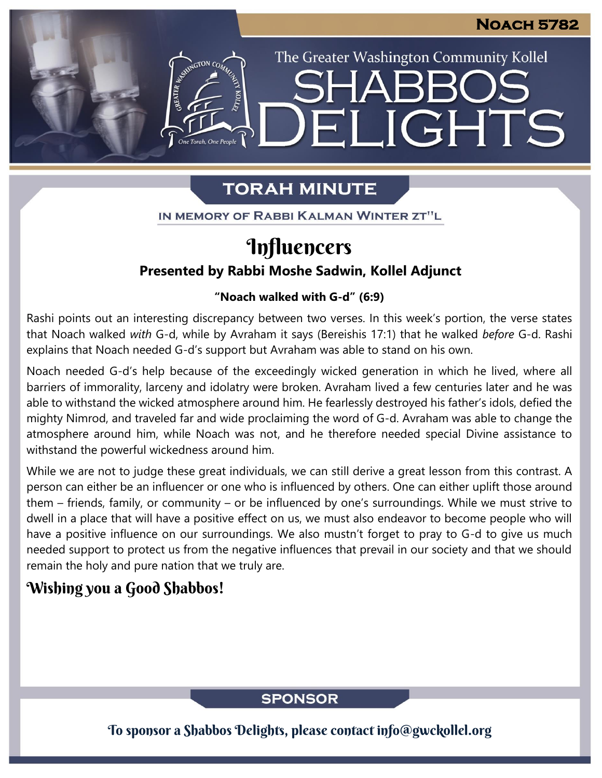The Greater Washington Community Kollel

IGHTS

# **TORAH MINUTE**

FI

IN MEMORY OF RABBI KALMAN WINTER ZT"L

# Influencers

## **Presented by Rabbi Moshe Sadwin, Kollel Adjunct**

#### **"Noach walked with G-d" (6:9) From our archives**

Rashi points out an interesting discrepancy between two verses. In this week's portion, the verse states that Noach walked *with* G-d, while by Avraham it says (Bereishis 17:1) that he walked *before* G-d. Rashi explains that Noach needed G-d's support but Avraham was able to stand on his own.

Noach needed G-d's help because of the exceedingly wicked generation in which he lived, where all barriers of immorality, larceny and idolatry were broken. Avraham lived a few centuries later and he was able to withstand the wicked atmosphere around him. He fearlessly destroyed his father's idols, defied the mighty Nimrod, and traveled far and wide proclaiming the word of G-d. Avraham was able to change the atmosphere around him, while Noach was not, and he therefore needed special Divine assistance to withstand the powerful wickedness around him.

While we are not to judge these great individuals, we can still derive a great lesson from this contrast. A person can either be an influencer or one who is influenced by others. One can either uplift those around them – friends, family, or community – or be influenced by one's surroundings. While we must strive to dwell in a place that will have a positive effect on us, we must also endeavor to become people who will have a positive influence on our surroundings. We also mustn't forget to pray to G-d to give us much needed support to protect us from the negative influences that prevail in our society and that we should remain the holy and pure nation that we truly are.

## Wishing you a Good Shabbos!

### **SPONSOR**

To sponsor a Shabbos Delights, please contact info@gwckollel.org